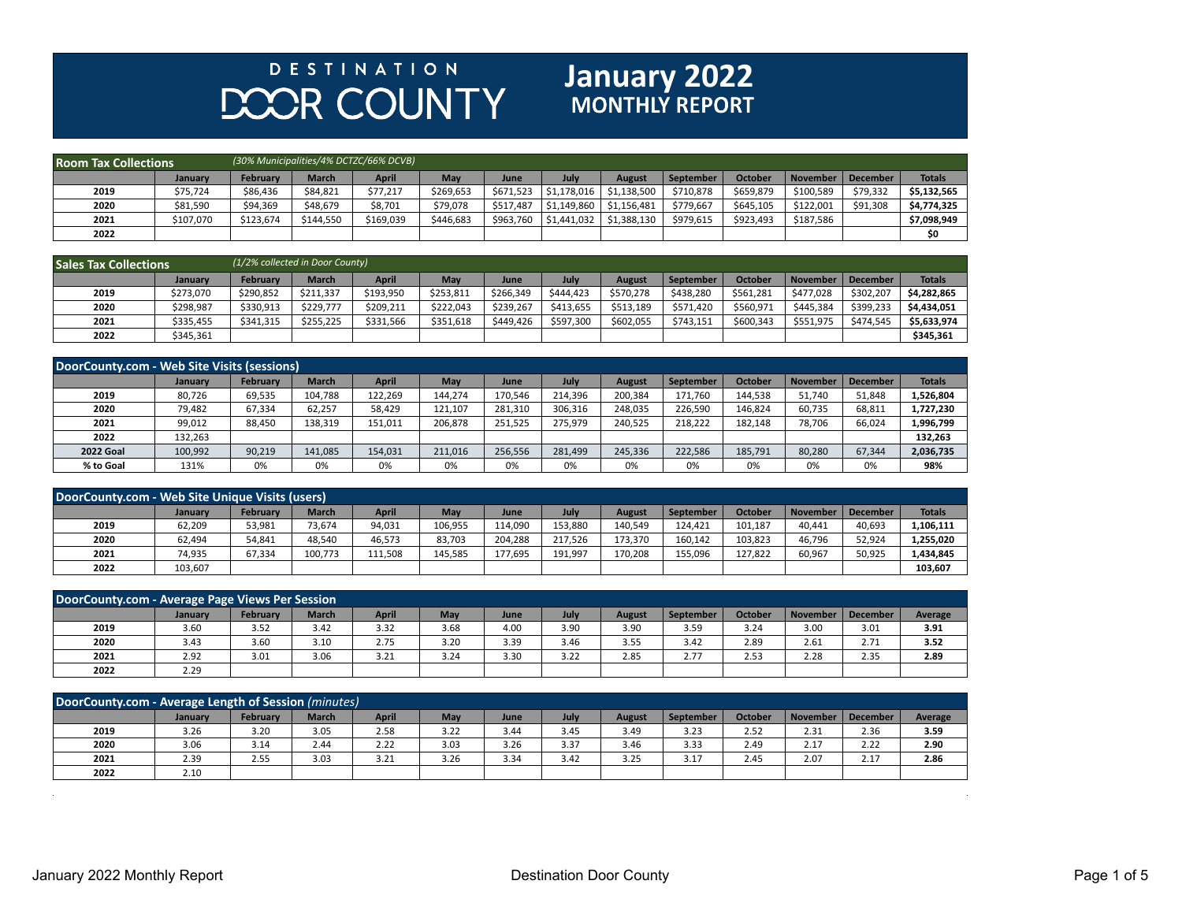## **DESTINATION DOOR COUNTY**

## **January 2022**

| <b>Room Tax Collections</b> |           |                 |              | (30% Municipalities/4% DCTZC/66% DCVB) |           |           |             |               |           |                |                 |          |               |
|-----------------------------|-----------|-----------------|--------------|----------------------------------------|-----------|-----------|-------------|---------------|-----------|----------------|-----------------|----------|---------------|
|                             | January   | <b>February</b> | <b>March</b> | <b>April</b>                           | May       | June      | July        | <b>August</b> | September | <b>October</b> | <b>November</b> | December | <b>Totals</b> |
| 2019                        | \$75,724  | \$86,436        | \$84,821     | \$77,217                               | \$269,653 | \$671.523 | \$1.178.016 | \$1,138,500   | \$710,878 | \$659,879      | \$100.589       | \$79,332 | \$5,132,565   |
| 2020                        | \$81,590  | \$94,369        | \$48,679     | \$8,701                                | \$79,078  | \$517.487 | \$1,149,860 | \$1,156,481   | \$779,667 | \$645,105      | \$122,001       | \$91,308 | \$4,774,325   |
| 2021                        | \$107,070 | \$123,674       | \$144,550    | \$169,039                              | \$446,683 | \$963,760 | \$1,441,032 | \$1,388,130   | \$979,615 | \$923,493      | \$187,586       |          | \$7,098,949   |
| 2022                        |           |                 |              |                                        |           |           |             |               |           |                |                 |          | \$0           |

| <b>Sales Tax Collections</b> |           |           | (1/2% collected in Door County) |              |           |           |           |           |           |                |                 |                 |               |
|------------------------------|-----------|-----------|---------------------------------|--------------|-----------|-----------|-----------|-----------|-----------|----------------|-----------------|-----------------|---------------|
|                              | January   | February  | <b>March</b>                    | <b>April</b> | May       | June      | July      | August    | September | <b>October</b> | <b>November</b> | <b>December</b> | <b>Totals</b> |
| 2019                         | \$273.070 | \$290,852 | \$211.337                       | \$193,950    | \$253,811 | \$266,349 | \$444.423 | \$570,278 | \$438.280 | \$561,281      | \$477,028       | \$302,207       | \$4.282.865   |
| 2020                         | \$298,987 | \$330,913 | \$229.777                       | \$209,211    | \$222.043 | \$239.267 | \$413.655 | \$513,189 | \$571,420 | \$560,971      | \$445.384       | \$399,233       | \$4,434,051   |
| 2021                         | \$335,455 | \$341,315 | \$255,225                       | \$331,566    | \$351,618 | \$449.426 | \$597.300 | \$602,055 | \$743.151 | \$600.343      | \$551,975       | \$474,545       | \$5,633,974   |
| 2022                         | \$345,361 |           |                                 |              |           |           |           |           |           |                |                 |                 | \$345,361     |

| DoorCounty.com - Web Site Visits (sessions) |                |                 |              |         |         |         |         |               |           |                |                 |                 |               |
|---------------------------------------------|----------------|-----------------|--------------|---------|---------|---------|---------|---------------|-----------|----------------|-----------------|-----------------|---------------|
|                                             | <b>January</b> | <b>February</b> | <b>March</b> | April   | May     | June    | July    | <b>August</b> | September | <b>October</b> | <b>November</b> | <b>December</b> | <b>Totals</b> |
| 2019                                        | 80,726         | 69,535          | 104,788      | 122,269 | 144.274 | 170,546 | 214,396 | 200,384       | 171,760   | 144,538        | 51,740          | 51,848          | 1,526,804     |
| 2020                                        | 79,482         | 67,334          | 62.257       | 58,429  | 121,107 | 281,310 | 306,316 | 248,035       | 226,590   | 146,824        | 60,735          | 68,811          | 1,727,230     |
| 2021                                        | 99,012         | 88,450          | 138,319      | 151,011 | 206,878 | 251.525 | 275,979 | 240,525       | 218,222   | 182,148        | 78,706          | 66,024          | 1,996,799     |
| 2022                                        | 132.263        |                 |              |         |         |         |         |               |           |                |                 |                 | 132,263       |
| <b>2022 Goal</b>                            | 100,992        | 90,219          | 141,085      | 154,031 | 211,016 | 256,556 | 281,499 | 245,336       | 222,586   | 185,791        | 80,280          | 67,344          | 2,036,735     |
| % to Goal                                   | 131%           | 0%              | 0%           | 0%      | 0%      | 0%      | 0%      | 0%            | 0%        | 0%             | 0%              | 0%              | 98%           |

| DoorCounty.com - Web Site Unique Visits (users) |         |                 |              |              |         |         |         |               |           |                |          |                 |               |
|-------------------------------------------------|---------|-----------------|--------------|--------------|---------|---------|---------|---------------|-----------|----------------|----------|-----------------|---------------|
|                                                 | January | <b>February</b> | <b>March</b> | <b>April</b> | May     | June    | July    | <b>August</b> | September | <b>October</b> | November | <b>December</b> | <b>Totals</b> |
| 2019                                            | 62,209  | 53,981          | 73.674       | 94,031       | 106,955 | 114,090 | 153,880 | 140,549       | 124.421   | 101,187        | 40,441   | 40,693          | 1,106,111     |
| 2020                                            | 62,494  | 54,841          | 48,540       | 46,573       | 83,703  | 204.288 | 217.526 | 173,370       | 160,142   | 103.823        | 46,796   | 52,924          | 1,255,020     |
| 2021                                            | 74,935  | 67,334          | 100,773      | 111,508      | 145,585 | 177,695 | 191,997 | 170,208       | 155,096   | 127,822        | 60,967   | 50,925          | 1,434,845     |
| 2022                                            | 103,607 |                 |              |              |         |         |         |               |           |                |          |                 | 103,607       |

| DoorCounty.com - Average Page Views Per Session |         |                 |              |              |      |      |      |        |                  |                |          |             |         |
|-------------------------------------------------|---------|-----------------|--------------|--------------|------|------|------|--------|------------------|----------------|----------|-------------|---------|
|                                                 | January | <b>February</b> | <b>March</b> | <b>April</b> | May  | June | July | August | <b>September</b> | <b>October</b> | November | December    | Average |
| 2019                                            | 3.60    | 3.52            | 3.42         | 3.32         | 3.68 | 4.00 | 3.90 | 3.90   | 3.59             | 3.24           | 3.00     | 3.01        | 3.91    |
| 2020                                            | 3.43    | 3.60            | 3.10         | 2.75         | 3.20 | 3.39 | 3.46 | 3.55   | 3.42             | 2.89           | 2.61     | 771<br>2.11 | 3.52    |
| 2021                                            | 2.92    | 3.01            | 3.06         | 3.21         | 3.24 | 3.30 | 3.22 | 2.85   | 2.77             | 2.53           | 2.28     | 2.35        | 2.89    |
| 2022                                            | 2.29    |                 |              |              |      |      |      |        |                  |                |          |             |         |

| DoorCounty.com - Average Length of Session (minutes) |                |                 |              |              |      |      |      |               |           |         |          |          |         |
|------------------------------------------------------|----------------|-----------------|--------------|--------------|------|------|------|---------------|-----------|---------|----------|----------|---------|
|                                                      | <b>January</b> | <b>February</b> | <b>March</b> | <b>April</b> | May  | June | July | <b>August</b> | September | October | November | December | Average |
| 2019                                                 | 3.26           | 3.20            | 3.05         | 2.58         | 3.22 | 3.44 | 3.45 | 3.49          | 3.23      | 2.52    | 2.31     | 2.36     | 3.59    |
| 2020                                                 | 3.06           | 3.14            | 2.44         | 2.22         | 3.03 | 3.26 | 3.37 | 3.46          | 3.33      | 2.49    | 2.17     | 2.22     | 2.90    |
| 2021                                                 | 2.39           | 2.55            | 3.03         | 3.21         | 3.26 | 3.34 | 3.42 | 3.25          | 3.17      | 2.45    | 2.07     | 2.17     | 2.86    |
| 2022                                                 | 2.10           |                 |              |              |      |      |      |               |           |         |          |          |         |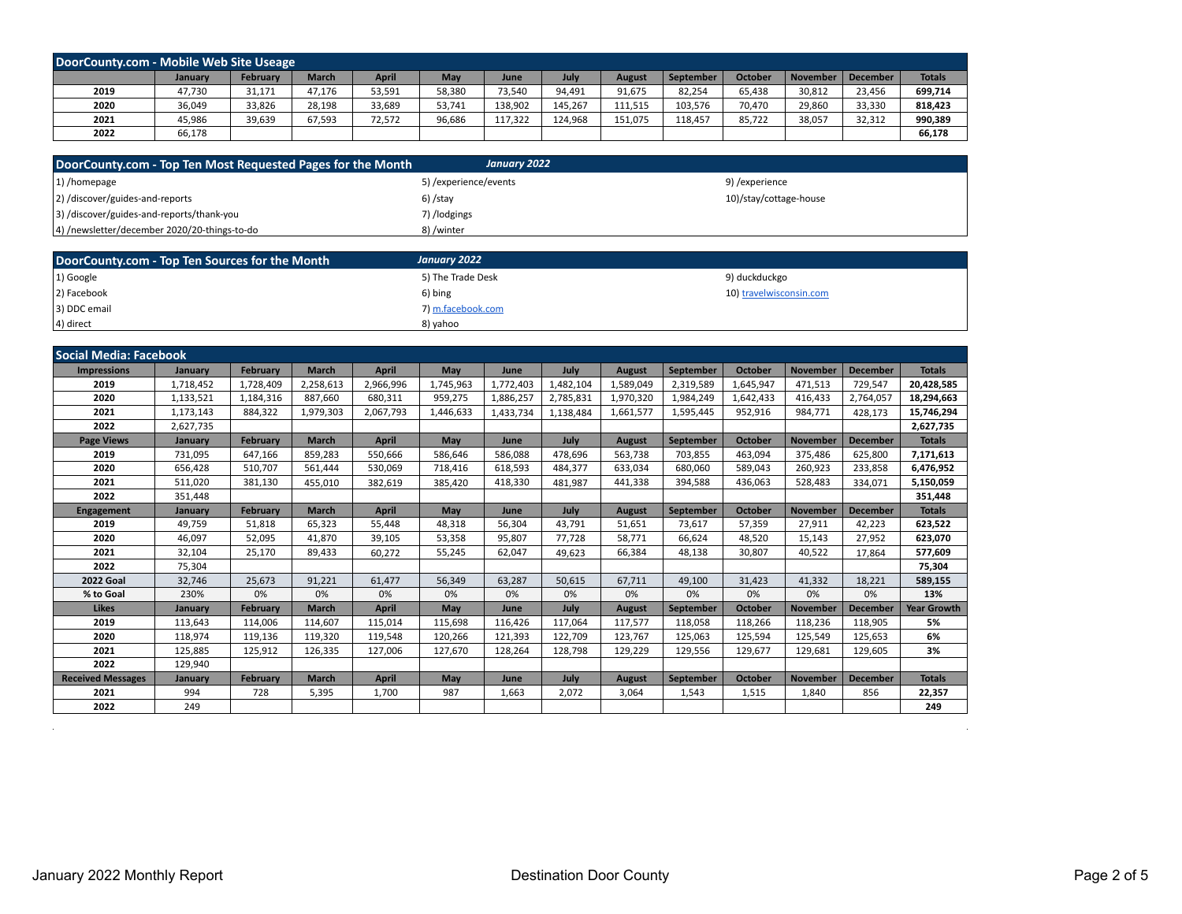| DoorCounty.com - Mobile Web Site Useage |         |                 |              |        |            |         |         |               |           |         |                 |          |               |
|-----------------------------------------|---------|-----------------|--------------|--------|------------|---------|---------|---------------|-----------|---------|-----------------|----------|---------------|
|                                         | Januarv | <b>February</b> | <b>March</b> | April  | <b>May</b> | June    | July    | <b>August</b> | September | October | <b>November</b> | December | <b>Totals</b> |
| 2019                                    | 47,730  | 31,171          | 47,176       | 53,591 | 58,380     | 73,540  | 94,491  | 91,675        | 82,254    | 65,438  | 30,812          | 23,456   | 699,714       |
| 2020                                    | 36,049  | 33,826          | 28,198       | 33,689 | 53,741     | 138,902 | 145,267 | 111,515       | 103,576   | 70,470  | 29,860          | 33,330   | 818,423       |
| 2021                                    | 45,986  | 39,639          | 67,593       | 72,572 | 96,686     | 117,322 | 124,968 | 151,075       | 118,457   | 85,722  | 38,057          | 32,312   | 990,389       |
| 2022                                    | 66,178  |                 |              |        |            |         |         |               |           |         |                 |          | 66,178        |

| DoorCounty.com - Top Ten Most Requested Pages for the Month | January 2022          |                        |
|-------------------------------------------------------------|-----------------------|------------------------|
| 1) /homepage                                                | 5) /experience/events | 9) /experience         |
| 2) /discover/guides-and-reports                             | 6) /stay              | 10)/stay/cottage-house |
| 3) /discover/guides-and-reports/thank-you                   | 7) /lodgings          |                        |
| 4) /newsletter/december 2020/20-things-to-do                | 8) /winter            |                        |

| DoorCounty.com - Top Ten Sources for the Month | January 2022      |                         |
|------------------------------------------------|-------------------|-------------------------|
| 1) Google                                      | 5) The Trade Desk | 9) duckduckgo           |
| 2) Facebook                                    | 6) bing           | 10) travelwisconsin.com |
| 3) DDC email                                   | 7) m.facebook.com |                         |
| 4) direct                                      | 8) vahoo          |                         |

| <b>Social Media: Facebook</b> |           |                 |              |              |           |           |           |               |                  |                |                 |                 |                    |
|-------------------------------|-----------|-----------------|--------------|--------------|-----------|-----------|-----------|---------------|------------------|----------------|-----------------|-----------------|--------------------|
| <b>Impressions</b>            | January   | <b>February</b> | <b>March</b> | <b>April</b> | May       | June      | July      | <b>August</b> | September        | <b>October</b> | <b>November</b> | <b>December</b> | <b>Totals</b>      |
| 2019                          | 1,718,452 | 1,728,409       | 2,258,613    | 2,966,996    | 1,745,963 | 1,772,403 | 1,482,104 | 1,589,049     | 2,319,589        | 1,645,947      | 471,513         | 729,547         | 20,428,585         |
| 2020                          | 1,133,521 | 1,184,316       | 887,660      | 680,311      | 959,275   | 1,886,257 | 2,785,831 | 1,970,320     | 1,984,249        | 1,642,433      | 416,433         | 2,764,057       | 18,294,663         |
| 2021                          | 1,173,143 | 884,322         | 1,979,303    | 2,067,793    | 1,446,633 | 1,433,734 | 1,138,484 | 1,661,577     | 1,595,445        | 952,916        | 984,771         | 428,173         | 15,746,294         |
| 2022                          | 2,627,735 |                 |              |              |           |           |           |               |                  |                |                 |                 | 2,627,735          |
| <b>Page Views</b>             | January   | <b>February</b> | <b>March</b> | April        | May       | June      | July      | <b>August</b> | September        | <b>October</b> | <b>November</b> | <b>December</b> | <b>Totals</b>      |
| 2019                          | 731,095   | 647,166         | 859,283      | 550,666      | 586,646   | 586,088   | 478,696   | 563,738       | 703,855          | 463,094        | 375,486         | 625,800         | 7,171,613          |
| 2020                          | 656,428   | 510,707         | 561,444      | 530,069      | 718,416   | 618,593   | 484.377   | 633,034       | 680.060          | 589,043        | 260,923         | 233,858         | 6,476,952          |
| 2021                          | 511,020   | 381,130         | 455.010      | 382.619      | 385,420   | 418,330   | 481,987   | 441,338       | 394,588          | 436,063        | 528,483         | 334,071         | 5,150,059          |
| 2022                          | 351,448   |                 |              |              |           |           |           |               |                  |                |                 |                 | 351,448            |
| Engagement                    | January   | <b>February</b> | <b>March</b> | <b>April</b> | May       | June      | July      | <b>August</b> | <b>September</b> | <b>October</b> | <b>November</b> | <b>December</b> | <b>Totals</b>      |
| 2019                          | 49,759    | 51,818          | 65,323       | 55,448       | 48,318    | 56,304    | 43,791    | 51,651        | 73,617           | 57,359         | 27,911          | 42,223          | 623,522            |
| 2020                          | 46,097    | 52,095          | 41,870       | 39,105       | 53,358    | 95,807    | 77,728    | 58,771        | 66,624           | 48,520         | 15,143          | 27,952          | 623,070            |
| 2021                          | 32,104    | 25,170          | 89.433       | 60,272       | 55,245    | 62,047    | 49,623    | 66,384        | 48.138           | 30.807         | 40.522          | 17,864          | 577,609            |
| 2022                          | 75,304    |                 |              |              |           |           |           |               |                  |                |                 |                 | 75,304             |
| <b>2022 Goal</b>              | 32,746    | 25,673          | 91,221       | 61,477       | 56,349    | 63.287    | 50,615    | 67.711        | 49,100           | 31,423         | 41,332          | 18,221          | 589,155            |
| % to Goal                     | 230%      | 0%              | 0%           | 0%           | 0%        | 0%        | 0%        | 0%            | 0%               | 0%             | 0%              | 0%              | 13%                |
| <b>Likes</b>                  | January   | <b>February</b> | <b>March</b> | April        | May       | June      | July      | <b>August</b> | September        | <b>October</b> | <b>November</b> | <b>December</b> | <b>Year Growth</b> |
| 2019                          | 113,643   | 114,006         | 114,607      | 115,014      | 115,698   | 116,426   | 117,064   | 117,577       | 118,058          | 118,266        | 118,236         | 118,905         | 5%                 |
| 2020                          | 118,974   | 119,136         | 119,320      | 119,548      | 120,266   | 121,393   | 122,709   | 123,767       | 125,063          | 125,594        | 125,549         | 125,653         | 6%                 |
| 2021                          | 125,885   | 125,912         | 126,335      | 127,006      | 127,670   | 128,264   | 128,798   | 129,229       | 129,556          | 129,677        | 129,681         | 129,605         | 3%                 |
| 2022                          | 129,940   |                 |              |              |           |           |           |               |                  |                |                 |                 |                    |
| <b>Received Messages</b>      | January   | <b>February</b> | <b>March</b> | <b>April</b> | May       | June      | July      | <b>August</b> | September        | <b>October</b> | November        | <b>December</b> | <b>Totals</b>      |
| 2021                          | 994       | 728             | 5,395        | 1,700        | 987       | 1,663     | 2,072     | 3,064         | 1,543            | 1,515          | 1.840           | 856             | 22,357             |
| 2022                          | 249       |                 |              |              |           |           |           |               |                  |                |                 |                 | 249                |

 $\sim$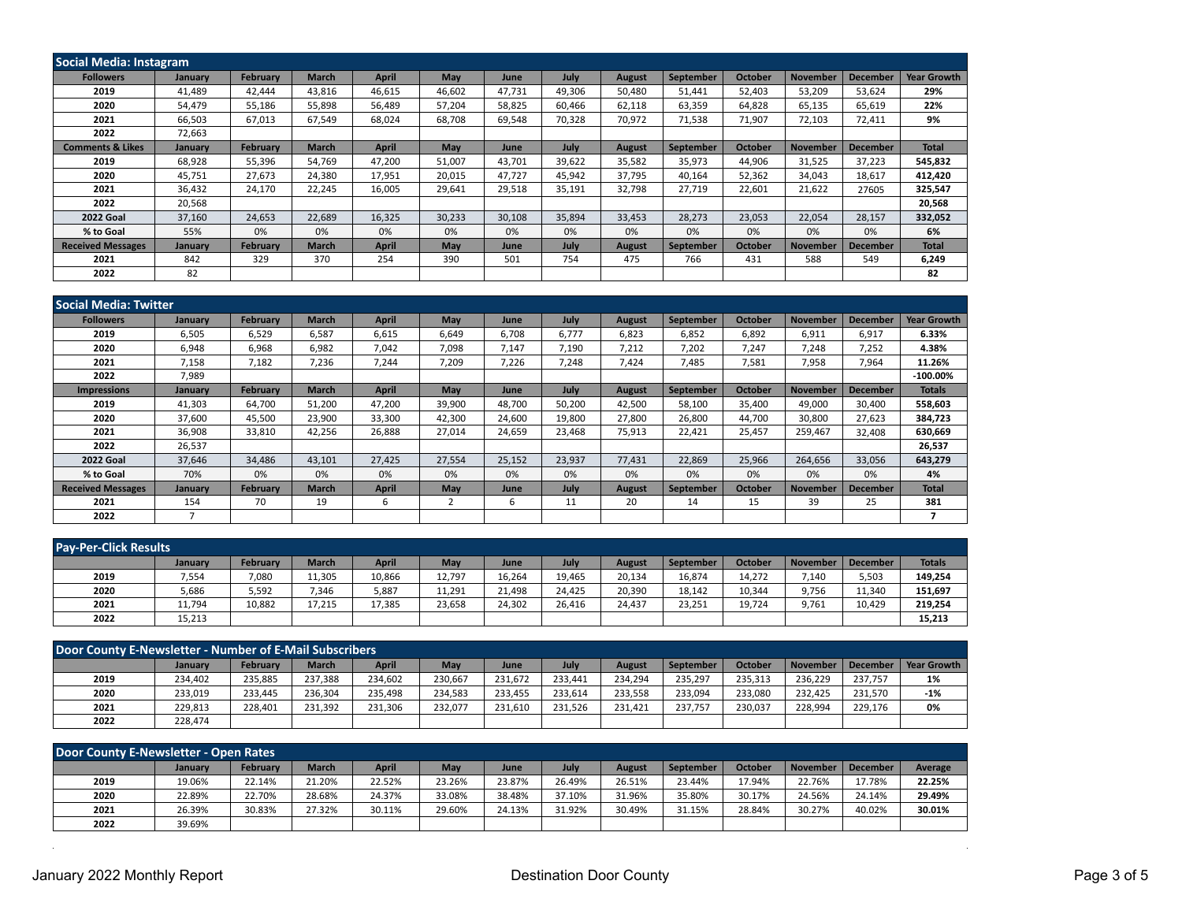| <b>Social Media: Instagram</b> |         |                 |              |              |            |             |        |               |           |                |                 |                 |                    |
|--------------------------------|---------|-----------------|--------------|--------------|------------|-------------|--------|---------------|-----------|----------------|-----------------|-----------------|--------------------|
| <b>Followers</b>               | January | <b>February</b> | <b>March</b> | <b>April</b> | <b>May</b> | <b>June</b> | July   | <b>August</b> | September | <b>October</b> | <b>November</b> | <b>December</b> | <b>Year Growth</b> |
| 2019                           | 41,489  | 42.444          | 43.816       | 46,615       | 46,602     | 47,731      | 49,306 | 50,480        | 51,441    | 52,403         | 53.209          | 53,624          | 29%                |
| 2020                           | 54,479  | 55,186          | 55.898       | 56,489       | 57,204     | 58,825      | 60,466 | 62,118        | 63,359    | 64,828         | 65,135          | 65,619          | 22%                |
| 2021                           | 66,503  | 67,013          | 67,549       | 68,024       | 68,708     | 69,548      | 70,328 | 70,972        | 71,538    | 71,907         | 72,103          | 72,411          | 9%                 |
| 2022                           | 72,663  |                 |              |              |            |             |        |               |           |                |                 |                 |                    |
| <b>Comments &amp; Likes</b>    | January | <b>February</b> | <b>March</b> | April        | May        | <b>June</b> | July   | <b>August</b> | September | <b>October</b> | <b>November</b> | <b>December</b> | <b>Total</b>       |
| 2019                           | 68,928  | 55,396          | 54.769       | 47,200       | 51,007     | 43,701      | 39,622 | 35,582        | 35,973    | 44,906         | 31,525          | 37,223          | 545,832            |
| 2020                           | 45,751  | 27,673          | 24,380       | 17,951       | 20,015     | 47,727      | 45,942 | 37,795        | 40,164    | 52,362         | 34,043          | 18,617          | 412,420            |
| 2021                           | 36,432  | 24,170          | 22,245       | 16,005       | 29,641     | 29,518      | 35,191 | 32,798        | 27,719    | 22,601         | 21,622          | 27605           | 325,547            |
| 2022                           | 20,568  |                 |              |              |            |             |        |               |           |                |                 |                 | 20,568             |
| <b>2022 Goal</b>               | 37,160  | 24,653          | 22,689       | 16,325       | 30,233     | 30,108      | 35,894 | 33,453        | 28,273    | 23,053         | 22,054          | 28,157          | 332,052            |
| % to Goal                      | 55%     | 0%              | 0%           | 0%           | 0%         | 0%          | 0%     | 0%            | 0%        | 0%             | 0%              | 0%              | 6%                 |
| <b>Received Messages</b>       | January | <b>February</b> | <b>March</b> | April        | May        | June        | July   | August        | September | <b>October</b> | <b>November</b> | <b>December</b> | <b>Total</b>       |
| 2021                           | 842     | 329             | 370          | 254          | 390        | 501         | 754    | 475           | 766       | 431            | 588             | 549             | 6,249              |
| 2022                           | 82      |                 |              |              |            |             |        |               |           |                |                 |                 | 82                 |

| <b>Social Media: Twitter</b> |         |                 |              |              |        |        |        |               |           |                |                 |                 |                    |
|------------------------------|---------|-----------------|--------------|--------------|--------|--------|--------|---------------|-----------|----------------|-----------------|-----------------|--------------------|
| <b>Followers</b>             | January | <b>February</b> | <b>March</b> | <b>April</b> | May    | June   | July   | <b>August</b> | September | <b>October</b> | <b>November</b> | <b>December</b> | <b>Year Growth</b> |
| 2019                         | 6,505   | 6,529           | 6,587        | 6,615        | 6,649  | 6,708  | 6.777  | 6,823         | 6,852     | 6,892          | 6,911           | 6,917           | 6.33%              |
| 2020                         | 6,948   | 6,968           | 6,982        | 7,042        | 7,098  | 7,147  | 7,190  | 7,212         | 7,202     | 7,247          | 7,248           | 7,252           | 4.38%              |
| 2021                         | 7,158   | 7,182           | 7,236        | 7,244        | 7,209  | 7,226  | 7,248  | 7,424         | 7,485     | 7,581          | 7,958           | 7,964           | 11.26%             |
| 2022                         | 7,989   |                 |              |              |        |        |        |               |           |                |                 |                 | $-100.00\%$        |
| <b>Impressions</b>           | January | <b>February</b> | <b>March</b> | <b>April</b> | May    | June   | July   | <b>August</b> | September | <b>October</b> | <b>November</b> | <b>December</b> | <b>Totals</b>      |
| 2019                         | 41,303  | 64,700          | 51,200       | 47,200       | 39,900 | 48,700 | 50,200 | 42,500        | 58,100    | 35,400         | 49,000          | 30,400          | 558,603            |
| 2020                         | 37,600  | 45,500          | 23,900       | 33,300       | 42,300 | 24,600 | 19,800 | 27,800        | 26,800    | 44,700         | 30,800          | 27,623          | 384,723            |
| 2021                         | 36,908  | 33,810          | 42,256       | 26,888       | 27,014 | 24,659 | 23,468 | 75,913        | 22,421    | 25,457         | 259,467         | 32,408          | 630,669            |
| 2022                         | 26,537  |                 |              |              |        |        |        |               |           |                |                 |                 | 26,537             |
| <b>2022 Goal</b>             | 37,646  | 34,486          | 43,101       | 27,425       | 27,554 | 25,152 | 23,937 | 77,431        | 22,869    | 25,966         | 264,656         | 33,056          | 643,279            |
| % to Goal                    | 70%     | 0%              | 0%           | 0%           | 0%     | 0%     | 0%     | 0%            | 0%        | 0%             | 0%              | 0%              | 4%                 |
| <b>Received Messages</b>     | January | <b>February</b> | <b>March</b> | <b>April</b> | May    | June   | July   | <b>August</b> | September | <b>October</b> | <b>November</b> | <b>December</b> | <b>Total</b>       |
| 2021                         | 154     | 70              | 19           | 6            |        | 6      | 11     | 20            | 14        | 15             | 39              | 25              | 381                |
| 2022                         |         |                 |              |              |        |        |        |               |           |                |                 |                 |                    |

| <b>Pay-Per-Click Results</b> |         |                 |              |              |        |        |        |               |           |         |                 |                 |               |
|------------------------------|---------|-----------------|--------------|--------------|--------|--------|--------|---------------|-----------|---------|-----------------|-----------------|---------------|
|                              | January | <b>February</b> | <b>March</b> | <b>April</b> | May    | June   | July   | <b>August</b> | September | October | <b>November</b> | <b>December</b> | <b>Totals</b> |
| 2019                         | 7,554   | 7,080           | 11,305       | 10,866       | 12,797 | 16,264 | 19,465 | 20,134        | 16,874    | 14,272  | 7,140           | 5,503           | 149,254       |
| 2020                         | 5,686   | 5,592           | 7,346        | 5,887        | 11,291 | 21,498 | 24,425 | 20,390        | 18,142    | 10,344  | 9,756           | 11,340          | 151,697       |
| 2021                         | 11,794  | 10,882          | 17.215       | 17,385       | 23,658 | 24,302 | 26,416 | 24,437        | 23,251    | 19.724  | 9,761           | 10.429          | 219,254       |
| 2022                         | 15,213  |                 |              |              |        |        |        |               |           |         |                 |                 | 15,213        |

| <b>Door County E-Newsletter - Number of E-Mail Subscribers</b> |         |                 |              |              |         |         |         |         |           |                |          |                 |             |
|----------------------------------------------------------------|---------|-----------------|--------------|--------------|---------|---------|---------|---------|-----------|----------------|----------|-----------------|-------------|
|                                                                | January | <b>February</b> | <b>March</b> | <b>April</b> | May     | June    | July    | August  | September | <b>October</b> | November | <b>December</b> | Year Growth |
| 2019                                                           | 234.402 | 235,885         | 237.388      | 234,602      | 230.667 | 231.672 | 233.441 | 234.294 | 235.297   | 235.313        | 236.229  | 237.757         | 1%          |
| 2020                                                           | 233.019 | 233.445         | 236.304      | 235.498      | 234.583 | 233.455 | 233.614 | 233.558 | 233.094   | 233.080        | 232.425  | 231.570         | $-1%$       |
| 2021                                                           | 229.813 | 228.401         | 231.392      | 231,306      | 232.077 | 231.610 | 231.526 | 231.421 | 237.757   | 230.037        | 228.994  | 229.176         | 0%          |
| 2022                                                           | 228,474 |                 |              |              |         |         |         |         |           |                |          |                 |             |

| Door County E-Newsletter - Open Rates |                |                 |              |              |        |        |             |               |           |                |                 |                 |         |
|---------------------------------------|----------------|-----------------|--------------|--------------|--------|--------|-------------|---------------|-----------|----------------|-----------------|-----------------|---------|
|                                       | <b>January</b> | <b>February</b> | <b>March</b> | <b>April</b> | May    | June   | <b>July</b> | <b>August</b> | September | <b>October</b> | <b>November</b> | <b>December</b> | Average |
| 2019                                  | 19.06%         | 22.14%          | 21.20%       | 22.52%       | 23.26% | 23.87% | 26.49%      | 26.51%        | 23.44%    | 17.94%         | 22.76%          | 17.78%          | 22.25%  |
| 2020                                  | 22.89%         | 22.70%          | 28.68%       | 24.37%       | 33.08% | 38.48% | 37.10%      | 31.96%        | 35.80%    | 30.17%         | 24.56%          | 24.14%          | 29.49%  |
| 2021                                  | 26.39%         | 30.83%          | 27.32%       | 30.11%       | 29.60% | 24.13% | 31.92%      | 30.49%        | 31.15%    | 28.84%         | 30.27%          | 40.02%          | 30.01%  |
| 2022                                  | 39.69%         |                 |              |              |        |        |             |               |           |                |                 |                 |         |

 $\sim$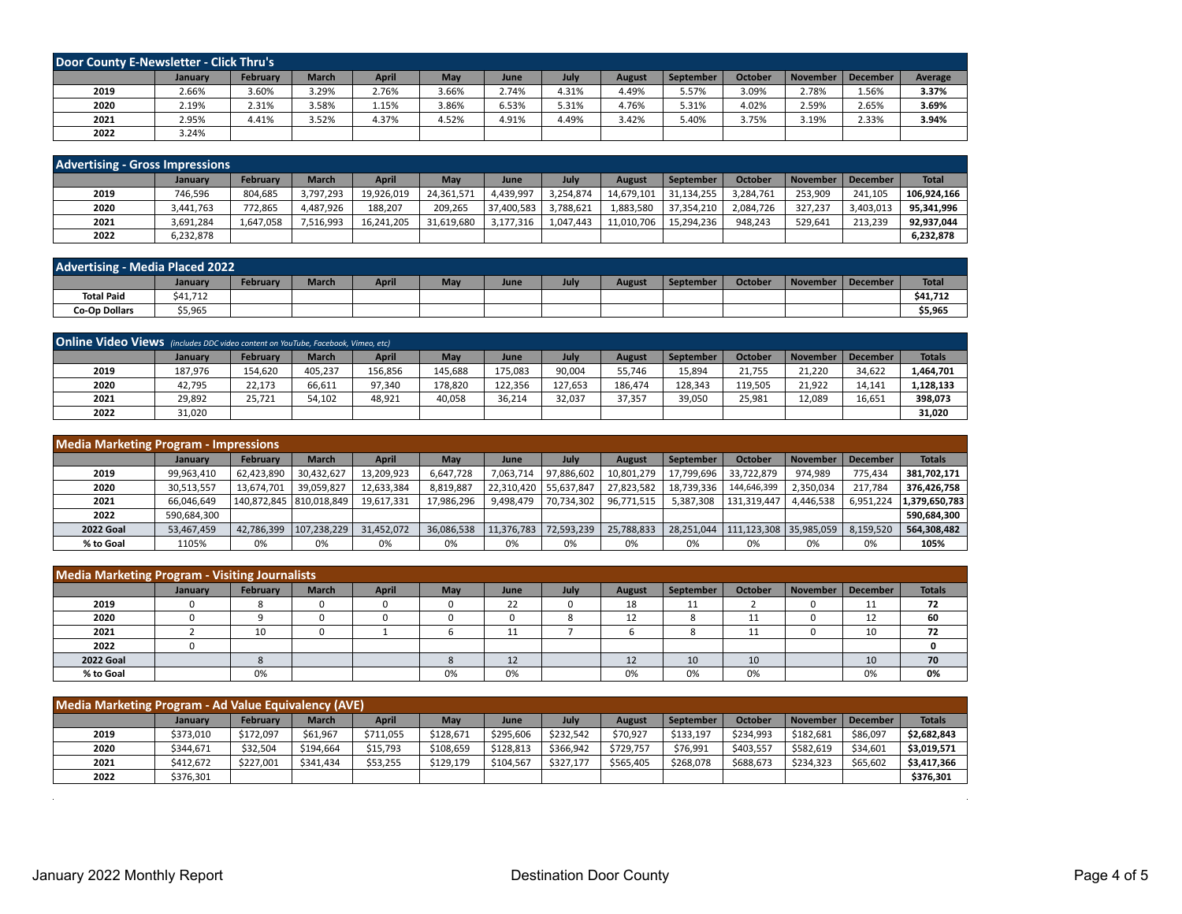| Door County E-Newsletter - Click Thru's |         |                 |              |       |            |       |       |        |           |                |          |          |         |
|-----------------------------------------|---------|-----------------|--------------|-------|------------|-------|-------|--------|-----------|----------------|----------|----------|---------|
|                                         | January | <b>February</b> | <b>March</b> | April | <b>May</b> | June  | July  | August | September | <b>October</b> | November | December | Average |
| 2019                                    | 2.66%   | 3.60%           | 3.29%        | 2.76% | 3.66%      | 2.74% | 4.31% | 4.49%  | 5.57%     | 3.09%          | 2.78%    | 1.56%    | 3.37%   |
| 2020                                    | 2.19%   | 2.31%           | 3.58%        | 1.15% | 3.86%      | 6.53% | 5.31% | 4.76%  | 5.31%     | 4.02%          | 2.59%    | 2.65%    | 3.69%   |
| 2021                                    | 2.95%   | 4.41%           | 3.52%        | 4.37% | 4.52%      | 4.91% | 4.49% | 3.42%  | 5.40%     | 3.75%          | 3.19%    | 2.33%    | 3.94%   |
| 2022                                    | 3.24%   |                 |              |       |            |       |       |        |           |                |          |          |         |

| <b>Advertising - Gross Impressions</b> |           |                 |              |              |            |            |           |               |            |                |          |           |              |
|----------------------------------------|-----------|-----------------|--------------|--------------|------------|------------|-----------|---------------|------------|----------------|----------|-----------|--------------|
|                                        | January   | <b>February</b> | <b>March</b> | <b>April</b> | May        | June       | July      | <b>August</b> | September  | <b>October</b> | November | December  | <b>Total</b> |
| 2019                                   | 746.596   | 804.685         | 3.797.293    | 19,926,019   | 24,361,571 | 4,439,997  | 3.254.874 | 14,679,101    | 31.134.255 | 3.284.761      | 253.909  | 241.105   | 106.924.166  |
| 2020                                   | 3,441,763 | 772.865         | 4.487.926    | 188,207      | 209.265    | 37,400,583 | 3,788,621 | 1,883,580     | 37.354.210 | 2,084,726      | 327.237  | 3,403,013 | 95,341,996   |
| 2021                                   | 3,691,284 | 1,647,058       | 7,516,993    | 16,241,205   | 31,619,680 | 3,177,316  | 1,047,443 | 11,010,706    | 15,294,236 | 948.243        | 529.641  | 213,239   | 92,937,044   |
| 2022                                   | 6,232,878 |                 |              |              |            |            |           |               |            |                |          |           | 6,232,878    |

| <b>Advertising - Media Placed 2022</b> |          |          |              |              |     |      |      |               |                  |                |          |          |              |
|----------------------------------------|----------|----------|--------------|--------------|-----|------|------|---------------|------------------|----------------|----------|----------|--------------|
|                                        | January  | February | <b>March</b> | <b>April</b> | May | June | July | <b>August</b> | <b>September</b> | <b>October</b> | November | December | <b>Total</b> |
| <b>Total Paid</b>                      | \$41,712 |          |              |              |     |      |      |               |                  |                |          |          | \$41,712     |
| <b>Co-Op Dollars</b>                   | \$5,965  |          |              |              |     |      |      |               |                  |                |          |          | \$5,965      |

| Online Video Views (includes DDC video content on YouTube, Facebook, Vimeo, etc) |                |                 |              |         |         |         |         |         |           |                |                     |        |               |
|----------------------------------------------------------------------------------|----------------|-----------------|--------------|---------|---------|---------|---------|---------|-----------|----------------|---------------------|--------|---------------|
|                                                                                  | <b>January</b> | <b>February</b> | <b>March</b> | April   | May     | June    | July    | August  | September | <b>October</b> | November   December |        | <b>Totals</b> |
| 2019                                                                             | 187,976        | 154,620         | 405,237      | 156,856 | 145,688 | 175,083 | 90,004  | 55.746  | 15,894    | 21.755         | 21,220              | 34,622 | 1,464,701     |
| 2020                                                                             | 42,795         | 22,173          | 66,611       | 97,340  | L78,820 | 122.356 | 127,653 | 186.474 | 128,343   | 119,505        | 21,922              | 14,141 | 1,128,133     |
| 2021                                                                             | 29,892         | 25,721          | 54,102       | 48,921  | 40,058  | 36,214  | 32,037  | 37,357  | 39,050    | 25,981         | 12,089              | 16,651 | 398,073       |
| 2022                                                                             | 31,020         |                 |              |         |         |         |         |         |           |                |                     |        | 31,020        |

| <b>Media Marketing Program - Impressions</b> |                |                           |              |            |            |            |            |            |            |                        |                 |                 |               |
|----------------------------------------------|----------------|---------------------------|--------------|------------|------------|------------|------------|------------|------------|------------------------|-----------------|-----------------|---------------|
|                                              | <b>January</b> | February                  | <b>March</b> | April      | May        | June       | July       | August     | September  | <b>October</b>         | <b>November</b> | <b>December</b> | <b>Totals</b> |
| 2019                                         | 99,963,410     | 62,423,890                | 30,432,627   | 13,209,923 | 6,647,728  | 7.063.714  | 97,886,602 | 10,801,279 | 17,799,696 | 33,722,879             | 974,989         | 775.434         | 381,702,171   |
| 2020                                         | 30,513,557     | 13.674.701                | 39,059,827   | 12,633,384 | 8,819,887  | 22,310,420 | 55.637.847 | 27,823,582 | 18,739,336 | 144,646,399            | 2,350,034       | 217.784         | 376,426,758   |
| 2021                                         | 66.046.649     | 140,872,845   810,018,849 |              | 19,617,331 | 17.986.296 | 9,498,479  | 70.734.302 | 96,771,515 | 5.387.308  | 131.319.447            | 4,446,538       | 6,951,224       | 1.379.650.783 |
| 2022                                         | 590,684,300    |                           |              |            |            |            |            |            |            |                        |                 |                 | 590,684,300   |
| <b>2022 Goal</b>                             | 53,467,459     | 42.786.399                | 107,238,229  | 31,452,072 | 36,086,538 | 11,376,783 | 72,593,239 | 25,788,833 | 28.251.044 | 111,123,308 35,985,059 |                 | 8,159,520       | 564,308,482   |
| % to Goal                                    | 1105%          | 0%                        | 0%           | 0%         | 0%         | 0%         | 0%         | 0%         | 0%         | 0%                     | 0%              | 0%              | 105%          |

| <b>Media Marketing Program - Visiting Journalists</b> |         |          |              |              |     |      |             |        |           |                |                 |                     |               |
|-------------------------------------------------------|---------|----------|--------------|--------------|-----|------|-------------|--------|-----------|----------------|-----------------|---------------------|---------------|
|                                                       | January | February | <b>March</b> | <b>April</b> | May | June | <b>July</b> | August | September | <b>October</b> | <b>November</b> | December            | <b>Totals</b> |
| 2019                                                  |         |          |              |              |     | 22   |             | 18     | 11        |                |                 | $\overline{A}$<br>ᆠ | 72            |
| 2020                                                  |         |          |              |              |     | υ    |             | 12     | o         | 11             | ັ               | 12<br>ᅩ             | 60            |
| 2021                                                  |         | 10       |              |              | ю   | 11   |             |        | o         | 11             |                 | 10                  | 72            |
| 2022                                                  |         |          |              |              |     |      |             |        |           |                |                 |                     | <sup>0</sup>  |
| <b>2022 Goal</b>                                      |         |          |              |              |     | 12   |             | 12     | 10        | 10             |                 | 10                  | 70            |
| % to Goal                                             |         | 0%       |              |              | 0%  | 0%   |             | 0%     | 0%        | 0%             |                 | 0%                  | 0%            |

| Media Marketing Program - Ad Value Equivalency (AVE) |           |                 |              |              |           |           |           |           |           |                |                 |                 |               |
|------------------------------------------------------|-----------|-----------------|--------------|--------------|-----------|-----------|-----------|-----------|-----------|----------------|-----------------|-----------------|---------------|
|                                                      | January   | <b>February</b> | <b>March</b> | <b>April</b> | May       | June      | July      | August    | September | <b>October</b> | <b>November</b> | <b>December</b> | <b>Totals</b> |
| 2019                                                 | \$373,010 | \$172,097       | \$61,967     | \$711,055    | \$128.671 | \$295,606 | \$232.542 | \$70,927  | \$133,197 | \$234,993      | \$182.681       | \$86,097        | \$2,682,843   |
| 2020                                                 | \$344,671 | \$32,504        | \$194.664    | \$15,793     | \$108,659 | \$128.813 | \$366,942 | \$729,757 | \$76,991  | \$403,557      | \$582,619       | \$34,601        | \$3,019,571   |
| 2021                                                 | \$412.672 | \$227.001       | \$341.434    | \$53,255     | \$129,179 | \$104.567 | \$327.177 | \$565,405 | \$268,078 | \$688,673      | \$234.323       | \$65,602        | \$3,417,366   |
| 2022                                                 | \$376,301 |                 |              |              |           |           |           |           |           |                |                 |                 | \$376.301     |

 $\alpha$  .

 $\sim 10^{-1}$